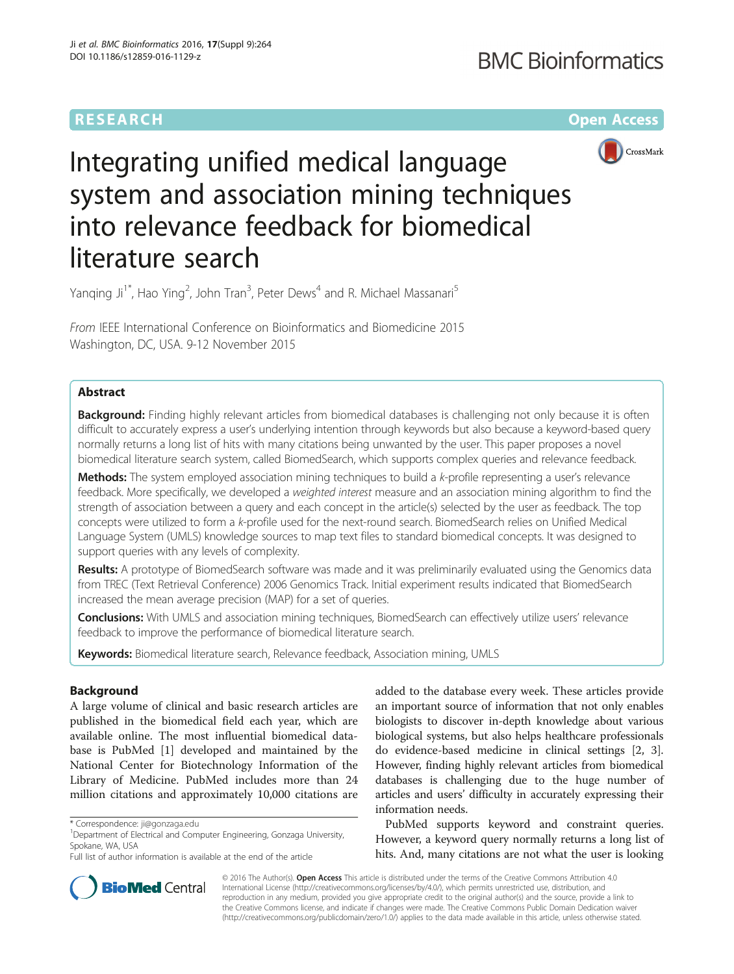## **RESEARCH CHE Open Access**



# Integrating unified medical language system and association mining techniques into relevance feedback for biomedical literature search

Yanqing Ji<sup>1\*</sup>, Hao Ying<sup>2</sup>, John Tran<sup>3</sup>, Peter Dews<sup>4</sup> and R. Michael Massanari<sup>5</sup>

From IEEE International Conference on Bioinformatics and Biomedicine 2015 Washington, DC, USA. 9-12 November 2015

## Abstract

**Background:** Finding highly relevant articles from biomedical databases is challenging not only because it is often difficult to accurately express a user's underlying intention through keywords but also because a keyword-based query normally returns a long list of hits with many citations being unwanted by the user. This paper proposes a novel biomedical literature search system, called BiomedSearch, which supports complex queries and relevance feedback.

Methods: The system employed association mining techniques to build a k-profile representing a user's relevance feedback. More specifically, we developed a weighted interest measure and an association mining algorithm to find the strength of association between a query and each concept in the article(s) selected by the user as feedback. The top concepts were utilized to form a k-profile used for the next-round search. BiomedSearch relies on Unified Medical Language System (UMLS) knowledge sources to map text files to standard biomedical concepts. It was designed to support queries with any levels of complexity.

Results: A prototype of BiomedSearch software was made and it was preliminarily evaluated using the Genomics data from TREC (Text Retrieval Conference) 2006 Genomics Track. Initial experiment results indicated that BiomedSearch increased the mean average precision (MAP) for a set of queries.

Conclusions: With UMLS and association mining techniques, BiomedSearch can effectively utilize users' relevance feedback to improve the performance of biomedical literature search.

Keywords: Biomedical literature search, Relevance feedback, Association mining, UMLS

## Background

A large volume of clinical and basic research articles are published in the biomedical field each year, which are available online. The most influential biomedical database is PubMed [[1](#page-10-0)] developed and maintained by the National Center for Biotechnology Information of the Library of Medicine. PubMed includes more than 24 million citations and approximately 10,000 citations are

added to the database every week. These articles provide an important source of information that not only enables biologists to discover in-depth knowledge about various biological systems, but also helps healthcare professionals do evidence-based medicine in clinical settings [[2, 3](#page-10-0)]. However, finding highly relevant articles from biomedical databases is challenging due to the huge number of articles and users' difficulty in accurately expressing their information needs.

PubMed supports keyword and constraint queries. However, a keyword query normally returns a long list of hits. And, many citations are not what the user is looking



© 2016 The Author(s). Open Access This article is distributed under the terms of the Creative Commons Attribution 4.0 International License [\(http://creativecommons.org/licenses/by/4.0/](http://creativecommons.org/licenses/by/4.0/)), which permits unrestricted use, distribution, and reproduction in any medium, provided you give appropriate credit to the original author(s) and the source, provide a link to the Creative Commons license, and indicate if changes were made. The Creative Commons Public Domain Dedication waiver [\(http://creativecommons.org/publicdomain/zero/1.0/](http://creativecommons.org/publicdomain/zero/1.0/)) applies to the data made available in this article, unless otherwise stated.

<sup>\*</sup> Correspondence: [ji@gonzaga.edu](mailto:ji@gonzaga.edu) <sup>1</sup>

<sup>&</sup>lt;sup>1</sup>Department of Electrical and Computer Engineering, Gonzaga University, Spokane, WA, USA

Full list of author information is available at the end of the article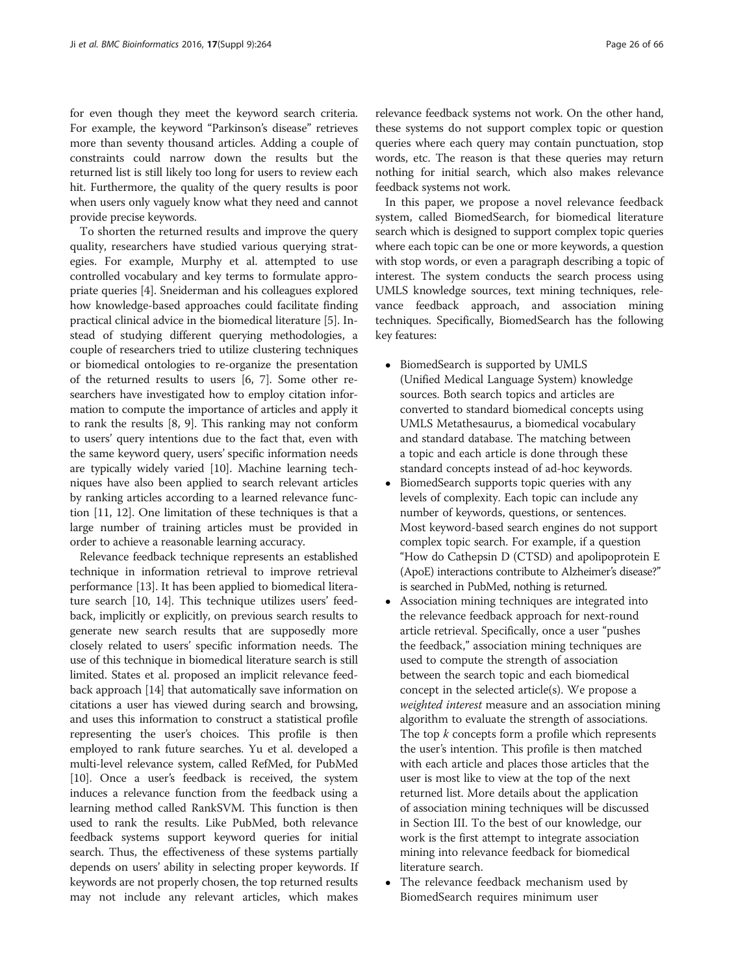for even though they meet the keyword search criteria. For example, the keyword "Parkinson's disease" retrieves more than seventy thousand articles. Adding a couple of constraints could narrow down the results but the returned list is still likely too long for users to review each hit. Furthermore, the quality of the query results is poor when users only vaguely know what they need and cannot provide precise keywords.

To shorten the returned results and improve the query quality, researchers have studied various querying strategies. For example, Murphy et al. attempted to use controlled vocabulary and key terms to formulate appropriate queries [\[4\]](#page-10-0). Sneiderman and his colleagues explored how knowledge-based approaches could facilitate finding practical clinical advice in the biomedical literature [[5\]](#page-10-0). Instead of studying different querying methodologies, a couple of researchers tried to utilize clustering techniques or biomedical ontologies to re-organize the presentation of the returned results to users [\[6, 7\]](#page-10-0). Some other researchers have investigated how to employ citation information to compute the importance of articles and apply it to rank the results [\[8](#page-10-0), [9\]](#page-10-0). This ranking may not conform to users' query intentions due to the fact that, even with the same keyword query, users' specific information needs are typically widely varied [\[10](#page-10-0)]. Machine learning techniques have also been applied to search relevant articles by ranking articles according to a learned relevance function [\[11, 12\]](#page-10-0). One limitation of these techniques is that a large number of training articles must be provided in order to achieve a reasonable learning accuracy.

Relevance feedback technique represents an established technique in information retrieval to improve retrieval performance [\[13\]](#page-10-0). It has been applied to biomedical literature search [\[10, 14](#page-10-0)]. This technique utilizes users' feedback, implicitly or explicitly, on previous search results to generate new search results that are supposedly more closely related to users' specific information needs. The use of this technique in biomedical literature search is still limited. States et al. proposed an implicit relevance feedback approach [[14](#page-10-0)] that automatically save information on citations a user has viewed during search and browsing, and uses this information to construct a statistical profile representing the user's choices. This profile is then employed to rank future searches. Yu et al. developed a multi-level relevance system, called RefMed, for PubMed [[10](#page-10-0)]. Once a user's feedback is received, the system induces a relevance function from the feedback using a learning method called RankSVM. This function is then used to rank the results. Like PubMed, both relevance feedback systems support keyword queries for initial search. Thus, the effectiveness of these systems partially depends on users' ability in selecting proper keywords. If keywords are not properly chosen, the top returned results may not include any relevant articles, which makes

relevance feedback systems not work. On the other hand, these systems do not support complex topic or question queries where each query may contain punctuation, stop words, etc. The reason is that these queries may return nothing for initial search, which also makes relevance feedback systems not work.

In this paper, we propose a novel relevance feedback system, called BiomedSearch, for biomedical literature search which is designed to support complex topic queries where each topic can be one or more keywords, a question with stop words, or even a paragraph describing a topic of interest. The system conducts the search process using UMLS knowledge sources, text mining techniques, relevance feedback approach, and association mining techniques. Specifically, BiomedSearch has the following key features:

- BiomedSearch is supported by UMLS (Unified Medical Language System) knowledge sources. Both search topics and articles are converted to standard biomedical concepts using UMLS Metathesaurus, a biomedical vocabulary and standard database. The matching between a topic and each article is done through these standard concepts instead of ad-hoc keywords.
- BiomedSearch supports topic queries with any levels of complexity. Each topic can include any number of keywords, questions, or sentences. Most keyword-based search engines do not support complex topic search. For example, if a question "How do Cathepsin D (CTSD) and apolipoprotein E (ApoE) interactions contribute to Alzheimer's disease?" is searched in PubMed, nothing is returned.
- Association mining techniques are integrated into the relevance feedback approach for next-round article retrieval. Specifically, once a user "pushes the feedback," association mining techniques are used to compute the strength of association between the search topic and each biomedical concept in the selected article(s). We propose a weighted interest measure and an association mining algorithm to evaluate the strength of associations. The top  $k$  concepts form a profile which represents the user's intention. This profile is then matched with each article and places those articles that the user is most like to view at the top of the next returned list. More details about the application of association mining techniques will be discussed in Section III. To the best of our knowledge, our work is the first attempt to integrate association mining into relevance feedback for biomedical literature search.
- The relevance feedback mechanism used by BiomedSearch requires minimum user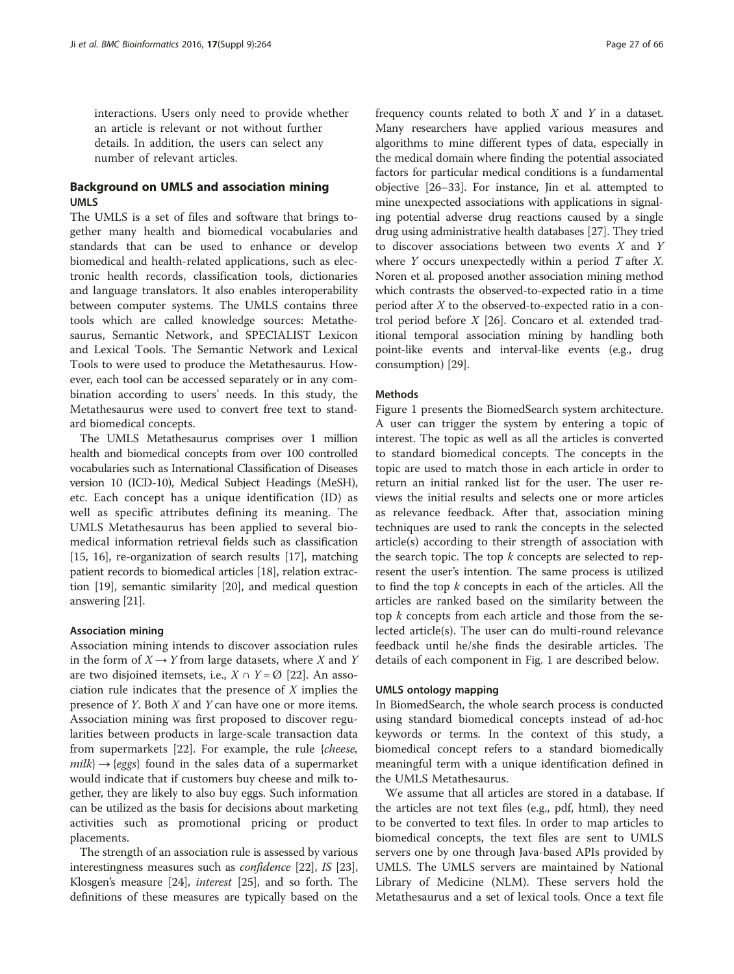interactions. Users only need to provide whether an article is relevant or not without further details. In addition, the users can select any number of relevant articles.

## Background on UMLS and association mining UMLS

The UMLS is a set of files and software that brings together many health and biomedical vocabularies and standards that can be used to enhance or develop biomedical and health-related applications, such as electronic health records, classification tools, dictionaries and language translators. It also enables interoperability between computer systems. The UMLS contains three tools which are called knowledge sources: Metathesaurus, Semantic Network, and SPECIALIST Lexicon and Lexical Tools. The Semantic Network and Lexical Tools to were used to produce the Metathesaurus. However, each tool can be accessed separately or in any combination according to users' needs. In this study, the Metathesaurus were used to convert free text to standard biomedical concepts.

The UMLS Metathesaurus comprises over 1 million health and biomedical concepts from over 100 controlled vocabularies such as International Classification of Diseases version 10 (ICD-10), Medical Subject Headings (MeSH), etc. Each concept has a unique identification (ID) as well as specific attributes defining its meaning. The UMLS Metathesaurus has been applied to several biomedical information retrieval fields such as classification [[15](#page-10-0), [16](#page-10-0)], re-organization of search results [\[17\]](#page-10-0), matching patient records to biomedical articles [[18](#page-10-0)], relation extraction [[19\]](#page-10-0), semantic similarity [[20\]](#page-10-0), and medical question answering [[21](#page-10-0)].

#### Association mining

Association mining intends to discover association rules in the form of  $X \rightarrow Y$  from large datasets, where X and Y are two disjoined itemsets, i.e.,  $X \cap Y = \emptyset$  [[22](#page-10-0)]. An association rule indicates that the presence of  $X$  implies the presence of Y. Both X and Y can have one or more items. Association mining was first proposed to discover regularities between products in large-scale transaction data from supermarkets [[22](#page-10-0)]. For example, the rule {cheese,  $milk$   $\rightarrow$  {eggs} found in the sales data of a supermarket would indicate that if customers buy cheese and milk together, they are likely to also buy eggs. Such information can be utilized as the basis for decisions about marketing activities such as promotional pricing or product placements.

The strength of an association rule is assessed by various interestingness measures such as confidence [[22](#page-10-0)], IS [[23](#page-10-0)], Klosgen's measure [[24](#page-10-0)], interest [[25\]](#page-10-0), and so forth. The definitions of these measures are typically based on the

frequency counts related to both  $X$  and  $Y$  in a dataset. Many researchers have applied various measures and algorithms to mine different types of data, especially in the medical domain where finding the potential associated factors for particular medical conditions is a fundamental objective [\[26](#page-10-0)–[33](#page-11-0)]. For instance, Jin et al. attempted to mine unexpected associations with applications in signaling potential adverse drug reactions caused by a single drug using administrative health databases [[27](#page-10-0)]. They tried to discover associations between two events  $X$  and  $Y$ where  $Y$  occurs unexpectedly within a period  $T$  after  $X$ . Noren et al. proposed another association mining method which contrasts the observed-to-expected ratio in a time period after  $X$  to the observed-to-expected ratio in a control period before  $X$  [\[26\]](#page-10-0). Concaro et al. extended traditional temporal association mining by handling both point-like events and interval-like events (e.g., drug consumption) [\[29\]](#page-11-0).

#### **Mathods**

Figure [1](#page-3-0) presents the BiomedSearch system architecture. A user can trigger the system by entering a topic of interest. The topic as well as all the articles is converted to standard biomedical concepts. The concepts in the topic are used to match those in each article in order to return an initial ranked list for the user. The user reviews the initial results and selects one or more articles as relevance feedback. After that, association mining techniques are used to rank the concepts in the selected article(s) according to their strength of association with the search topic. The top  $k$  concepts are selected to represent the user's intention. The same process is utilized to find the top  $k$  concepts in each of the articles. All the articles are ranked based on the similarity between the top  $k$  concepts from each article and those from the selected article(s). The user can do multi-round relevance feedback until he/she finds the desirable articles. The details of each component in Fig. [1](#page-3-0) are described below.

#### UMLS ontology mapping

In BiomedSearch, the whole search process is conducted using standard biomedical concepts instead of ad-hoc keywords or terms. In the context of this study, a biomedical concept refers to a standard biomedically meaningful term with a unique identification defined in the UMLS Metathesaurus.

We assume that all articles are stored in a database. If the articles are not text files (e.g., pdf, html), they need to be converted to text files. In order to map articles to biomedical concepts, the text files are sent to UMLS servers one by one through Java-based APIs provided by UMLS. The UMLS servers are maintained by National Library of Medicine (NLM). These servers hold the Metathesaurus and a set of lexical tools. Once a text file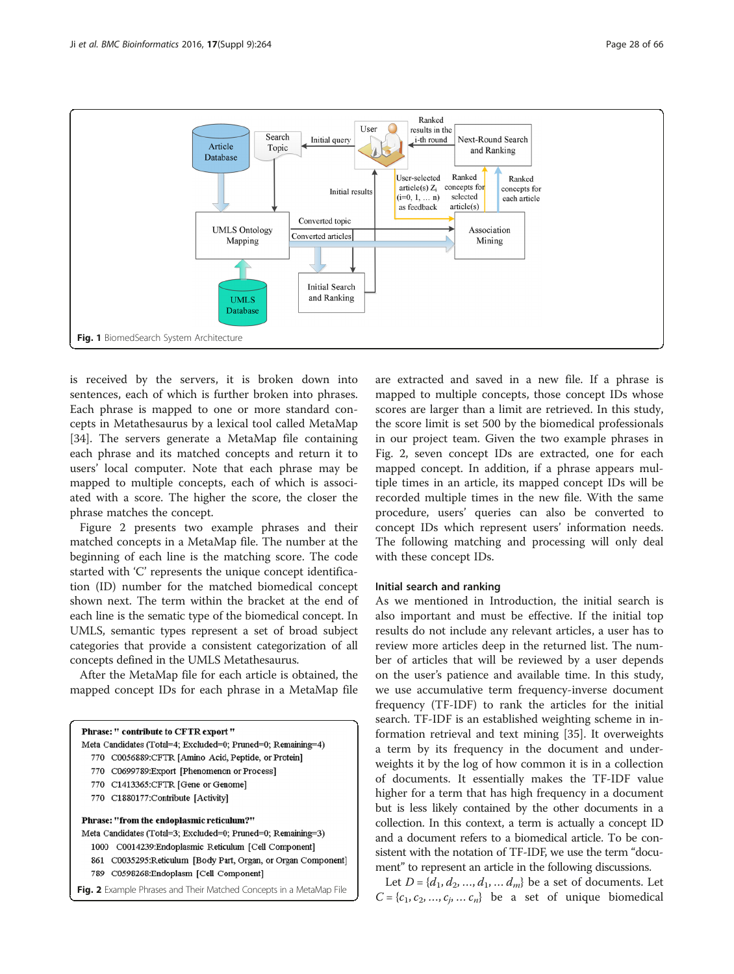<span id="page-3-0"></span>

is received by the servers, it is broken down into sentences, each of which is further broken into phrases. Each phrase is mapped to one or more standard concepts in Metathesaurus by a lexical tool called MetaMap [[34\]](#page-11-0). The servers generate a MetaMap file containing each phrase and its matched concepts and return it to users' local computer. Note that each phrase may be mapped to multiple concepts, each of which is associated with a score. The higher the score, the closer the phrase matches the concept.

Figure 2 presents two example phrases and their matched concepts in a MetaMap file. The number at the beginning of each line is the matching score. The code started with 'C' represents the unique concept identification (ID) number for the matched biomedical concept shown next. The term within the bracket at the end of each line is the sematic type of the biomedical concept. In UMLS, semantic types represent a set of broad subject categories that provide a consistent categorization of all concepts defined in the UMLS Metathesaurus.

After the MetaMap file for each article is obtained, the mapped concept IDs for each phrase in a MetaMap file

| <b>Phrase: " contribute to CFTR export "</b>                   |
|----------------------------------------------------------------|
| Meta Candidates (Total=4; Excluded=0; Pruned=0; Remaining=4)   |
| 770 C0056889:CFTR [Amino Acid, Peptide, or Protein]            |
| 770 C0699789: Export [Phenomenon or Process]                   |
| 770 C1413365:CFTR [Gene or Genome]                             |
| 770 C1880177: Contribute [Activity]                            |
| <b>Phrase: "from the endoplasmic reticulum?"</b>               |
| Meta Candidates (Total=3; Excluded=0; Pruned=0; Remaining=3)   |
| 1000 C0014239: Endoplasmic Reticulum [Cell Component]          |
| 861 C0035295: Reticulum [Body Part, Organ, or Organ Component] |
| 789 C0598268:Endoplasm [Cell Component]                        |
|                                                                |

are extracted and saved in a new file. If a phrase is mapped to multiple concepts, those concept IDs whose scores are larger than a limit are retrieved. In this study, the score limit is set 500 by the biomedical professionals in our project team. Given the two example phrases in Fig. 2, seven concept IDs are extracted, one for each mapped concept. In addition, if a phrase appears multiple times in an article, its mapped concept IDs will be recorded multiple times in the new file. With the same procedure, users' queries can also be converted to concept IDs which represent users' information needs. The following matching and processing will only deal with these concept IDs.

#### Initial search and ranking

As we mentioned in Introduction, the initial search is also important and must be effective. If the initial top results do not include any relevant articles, a user has to review more articles deep in the returned list. The number of articles that will be reviewed by a user depends on the user's patience and available time. In this study, we use accumulative term frequency-inverse document frequency (TF-IDF) to rank the articles for the initial search. TF-IDF is an established weighting scheme in information retrieval and text mining [[35](#page-11-0)]. It overweights a term by its frequency in the document and underweights it by the log of how common it is in a collection of documents. It essentially makes the TF-IDF value higher for a term that has high frequency in a document but is less likely contained by the other documents in a collection. In this context, a term is actually a concept ID and a document refers to a biomedical article. To be consistent with the notation of TF-IDF, we use the term "document" to represent an article in the following discussions.

Let  $D = \{d_1, d_2, ..., d_1, ..., d_m\}$  be a set of documents. Let Fig. 2 Example Phrases and Their Matched Concepts in a MetaMap File  $C = \{c_1, c_2, ..., c_j, ..., c_p\}$  be a set of unique biomedical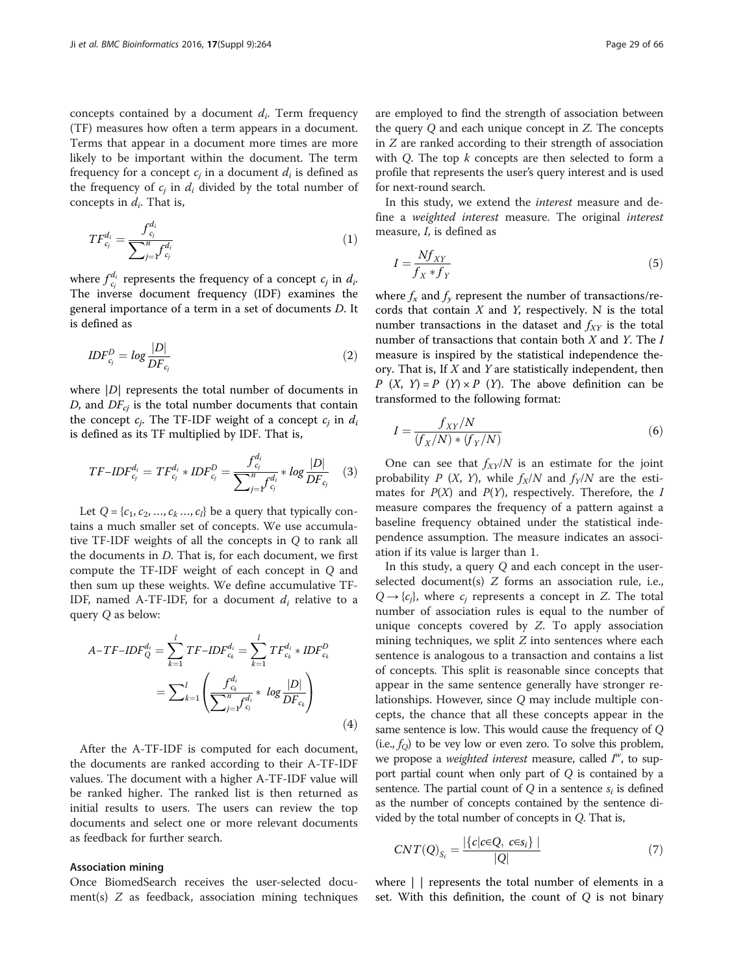concepts contained by a document  $d_i$ . Term frequency (TF) measures how often a term appears in a document. Terms that appear in a document more times are more likely to be important within the document. The term frequency for a concept  $c_i$  in a document  $d_i$  is defined as the frequency of  $c_i$  in  $d_i$  divided by the total number of concepts in  $d_i$ . That is,

$$
TF_{c_j}^{d_i} = \frac{f_{c_j}^{d_i}}{\sum_{j=1}^n f_{c_j}^{d_i}}
$$
 (1)

where  $f_{c_j}^{d_i}$  represents the frequency of a concept  $c_j$  in  $d_i$ . The inverse document frequency (IDF) examines the general importance of a term in a set of documents D. It is defined as

$$
IDF_{c_j}^D = log \frac{|D|}{DF_{c_j}}
$$
\n<sup>(2)</sup>

where  $|D|$  represents the total number of documents in D, and  $DF_{ci}$  is the total number documents that contain the concept  $c_j$ . The TF-IDF weight of a concept  $c_j$  in  $d_i$ is defined as its TF multiplied by IDF. That is,

$$
TF-IDF_{c_j}^{d_i} = TF_{c_j}^{d_i} * IDF_{c_j}^{D} = \frac{f_{c_j}^{d_i}}{\sum_{j=1}^{n} f_{c_j}^{d_i}} * log \frac{|D|}{DF_{c_j}} \quad (3)
$$

Let  $Q = \{c_1, c_2, ..., c_k, ..., c_l\}$  be a query that typically contains a much smaller set of concepts. We use accumulative TF-IDF weights of all the concepts in Q to rank all the documents in D. That is, for each document, we first compute the TF-IDF weight of each concept in Q and then sum up these weights. We define accumulative TF-IDF, named A-TF-IDF, for a document  $d_i$  relative to a query Q as below:

$$
A - TF - IDF_Q^{d_i} = \sum_{k=1}^l TF - IDF_{c_k}^{d_i} = \sum_{k=1}^l TF_{c_k}^{d_i} * IDF_{c_k}^D
$$

$$
= \sum_{k=1}^l \left( \frac{f_{c_k}^{d_i}}{\sum_{j=1}^n f_{c_j}^{d_i}} * log \frac{|D|}{DF_{c_k}} \right)
$$
(4)

After the A-TF-IDF is computed for each document, the documents are ranked according to their A-TF-IDF values. The document with a higher A-TF-IDF value will be ranked higher. The ranked list is then returned as initial results to users. The users can review the top documents and select one or more relevant documents as feedback for further search.

#### Association mining

Once BiomedSearch receives the user-selected document(s)  $Z$  as feedback, association mining techniques are employed to find the strength of association between the query Q and each unique concept in Z. The concepts in Z are ranked according to their strength of association with Q. The top  $k$  concepts are then selected to form a profile that represents the user's query interest and is used for next-round search.

In this study, we extend the interest measure and define a weighted interest measure. The original interest measure, I, is defined as

$$
I = \frac{Nf_{XY}}{f_X * f_Y} \tag{5}
$$

where  $f_x$  and  $f_y$  represent the number of transactions/records that contain  $X$  and  $Y$ , respectively. N is the total number transactions in the dataset and  $f_{XY}$  is the total number of transactions that contain both  $X$  and  $Y$ . The  $I$ measure is inspired by the statistical independence theory. That is, If  $X$  and  $Y$  are statistically independent, then  $P(X, Y) = P(Y) \times P(Y)$ . The above definition can be transformed to the following format:

$$
I = \frac{f_{XY}/N}{(f_X/N) * (f_Y/N)}
$$
(6)

One can see that  $f_{XY}/N$  is an estimate for the joint probability P  $(X, Y)$ , while  $f_X/N$  and  $f_Y/N$  are the estimates for  $P(X)$  and  $P(Y)$ , respectively. Therefore, the I measure compares the frequency of a pattern against a baseline frequency obtained under the statistical independence assumption. The measure indicates an association if its value is larger than 1.

In this study, a query Q and each concept in the userselected document(s) Z forms an association rule, i.e.,  $Q \rightarrow \{c_i\}$ , where  $c_i$  represents a concept in Z. The total number of association rules is equal to the number of unique concepts covered by Z. To apply association mining techniques, we split  $Z$  into sentences where each sentence is analogous to a transaction and contains a list of concepts. This split is reasonable since concepts that appear in the same sentence generally have stronger relationships. However, since Q may include multiple concepts, the chance that all these concepts appear in the same sentence is low. This would cause the frequency of Q (i.e.,  $f<sub>O</sub>$ ) to be vey low or even zero. To solve this problem, we propose a *weighted interest* measure, called  $I^w$ , to support partial count when only part of Q is contained by a sentence. The partial count of  $O$  in a sentence  $s_i$  is defined as the number of concepts contained by the sentence divided by the total number of concepts in Q. That is,

$$
CNT(Q)_{S_i} = \frac{|\{c|c \in Q, c \in S_i\}|}{|Q|} \tag{7}
$$

where | | represents the total number of elements in a set. With this definition, the count of  $Q$  is not binary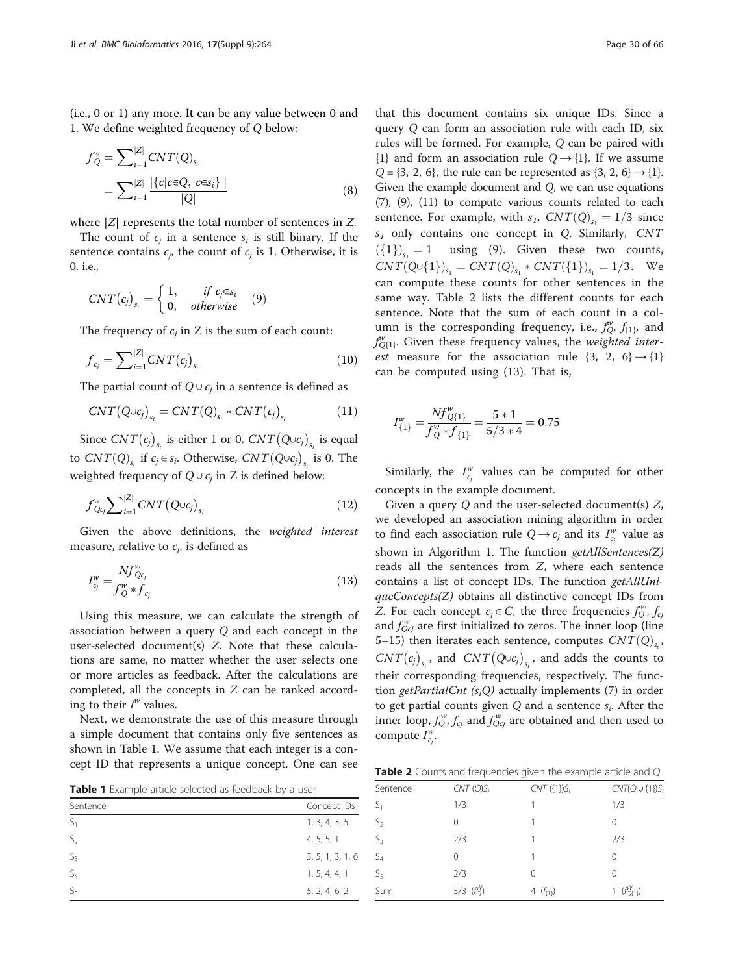(i.e., 0 or 1) any more. It can be any value between 0 and 1. We define weighted frequency of Q below:

$$
f''_Q = \sum_{i=1}^{|Z|} CNT(Q)_{s_i}
$$
  
= 
$$
\sum_{i=1}^{|Z|} \frac{|\{c|c \in Q, c \in s_i\}|}{|Q|}
$$
 (8)

where  $|Z|$  represents the total number of sentences in Z.

The count of  $c_i$  in a sentence  $s_i$  is still binary. If the sentence contains  $c_i$ , the count of  $c_i$  is 1. Otherwise, it is 0. i.e.,

$$
CNT(c_j)_{s_i} = \begin{cases} 1, & if \ c_j \in s_i \\ 0, & otherwise \end{cases} \quad (9)
$$

The frequency of  $c_i$  in Z is the sum of each count:

$$
f_{c_j} = \sum_{i=1}^{|Z|} CNT(c_j)_{s_i}
$$
 (10)

The partial count of  $Q \cup c_i$  in a sentence is defined as

$$
CNT(Q \cup c_j)_{s_i} = CNT(Q)_{s_i} * CNT(c_j)_{s_i}
$$
\n(11)

Since  $CNT(c_j)_{s_i}$  is either 1 or 0,  $CNT(Q \cup c_j)_{s_i}$  is equal to  $CNT(Q)_{s_i}$  if  $c_j \in s_i$ . Otherwise,  $CNT(Q \cup c_j)_{s_i}$  is 0. The weighted frequency of  $Q \cup c_j$  in Z is defined below:

$$
f^{\mathbf{w}}_{Q_{c_j}} \sum\nolimits_{i=1}^{|Z|} CNT(Q \cup c_j)_{s_i}
$$
 (12)

Given the above definitions, the weighted interest measure, relative to  $c_i$ , is defined as

$$
I_{c_j}^w = \frac{Nf_{Qc_j}^w}{f_Q^w * f_{c_j}}
$$
\n(13)

Using this measure, we can calculate the strength of association between a query Q and each concept in the user-selected document(s) Z. Note that these calculations are same, no matter whether the user selects one or more articles as feedback. After the calculations are completed, all the concepts in Z can be ranked according to their  $I^w$  values.

Next, we demonstrate the use of this measure through a simple document that contains only five sentences as shown in Table 1. We assume that each integer is a concept ID that represents a unique concept. One can see

Table 1 Example article selected as feedback by a user

that this document contains six unique IDs. Since a query Q can form an association rule with each ID, six rules will be formed. For example, Q can be paired with  $\{1\}$  and form an association rule  $Q \rightarrow \{1\}$ . If we assume  $Q = \{3, 2, 6\}$ , the rule can be represented as  $\{3, 2, 6\} \rightarrow \{1\}$ . Given the example document and Q, we can use equations (7), (9), (11) to compute various counts related to each sentence. For example, with  $s_1$ ,  $CNT(Q)_{s_1} = 1/3$  since  $s_1$  only contains one concept in Q. Similarly,  $CNT$  $({1})_{s_1} = 1$  using (9). Given these two counts,  $CNT(Q \cup \{1\})_{s_1} = CNT(Q)_{s_1} * CNT(\{1\})_{s_1} = 1/3.$  We can compute these counts for other sentences in the same way. Table 2 lists the different counts for each sentence. Note that the sum of each count in a column is the corresponding frequency, i.e.,  $f''_Q$ ,  $f_{\{1\}}$ , and  $f_{Q(1)}^w$ . Given these frequency values, the weighted inter*est* measure for the association rule  $\{3, 2, 6\} \rightarrow \{1\}$ can be computed using (13). That is,

$$
I_{\{1\}}^w = \frac{N f_{Q\{1\}}^w}{f_Q^w * f_{\{1\}}} = \frac{5 * 1}{5/3 * 4} = 0.75
$$

Similarly, the  $I^w_{c_j}$  values can be computed for other concepts in the example document.

Given a query Q and the user-selected document(s) Z, we developed an association mining algorithm in order to find each association rule  $Q \rightarrow c_j$  and its  $I_{c_j}^w$  value as shown in Algorithm 1. The function getAllSentences(Z) reads all the sentences from Z, where each sentence contains a list of concept IDs. The function getAllUni $queConcepts(Z)$  obtains all distinctive concept IDs from Z. For each concept  $c_j \in C$ , the three frequencies  $f_Q^w, f_{C_j}$ and  $f_{Qcj}^w$  are first initialized to zeros. The inner loop (line 5–15) then iterates each sentence, computes  $CNT(Q)_{s_i}$  $CNT(c_j)_{s_i}$ , and  $CNT(Q \cup c_j)_{s_i}$ , and adds the counts to their corresponding frequencies, respectively. The function getPartialCnt  $(s_iQ)$  actually implements (7) in order to get partial counts given  $Q$  and a sentence  $s_i$ . After the inner loop,  $f_{Q}^{w}$ ,  $f_{cj}$  and  $f_{Qcj}^{w}$  are obtained and then used to compute  $I_{c_j}^w$ .

Table 2 Counts and frequencies given the example article and Q

| Table 1 Example article selected as feedback by a user |                  | Sentence          | $CNT(Q)S_i$   | $CNT$ ({1}) $S_i$ | $CNT(Q \cup \{1\})$ S |
|--------------------------------------------------------|------------------|-------------------|---------------|-------------------|-----------------------|
| Sentence                                               | Concept IDs      | -21               | 1/3           |                   | 1/3                   |
| $S_1$                                                  | 1, 3, 4, 3, 5    | $\mathcal{D}_{2}$ |               |                   |                       |
| S <sub>2</sub>                                         | 4, 5, 5, 1       |                   | 2/3           |                   | 2/3                   |
| S <sub>3</sub>                                         | 3, 5, 1, 3, 1, 6 | $\mathcal{P}$     |               |                   |                       |
| $S_4$                                                  | 1, 5, 4, 4, 1    |                   | 2/3           |                   |                       |
| $S_5$                                                  | 5, 2, 4, 6, 2    | Sum               | 5/3 $(f_0^W)$ | 4 $(f_{\{1\}})$   | $(f_{Q\{1\}}^{W})$    |
|                                                        |                  |                   |               |                   |                       |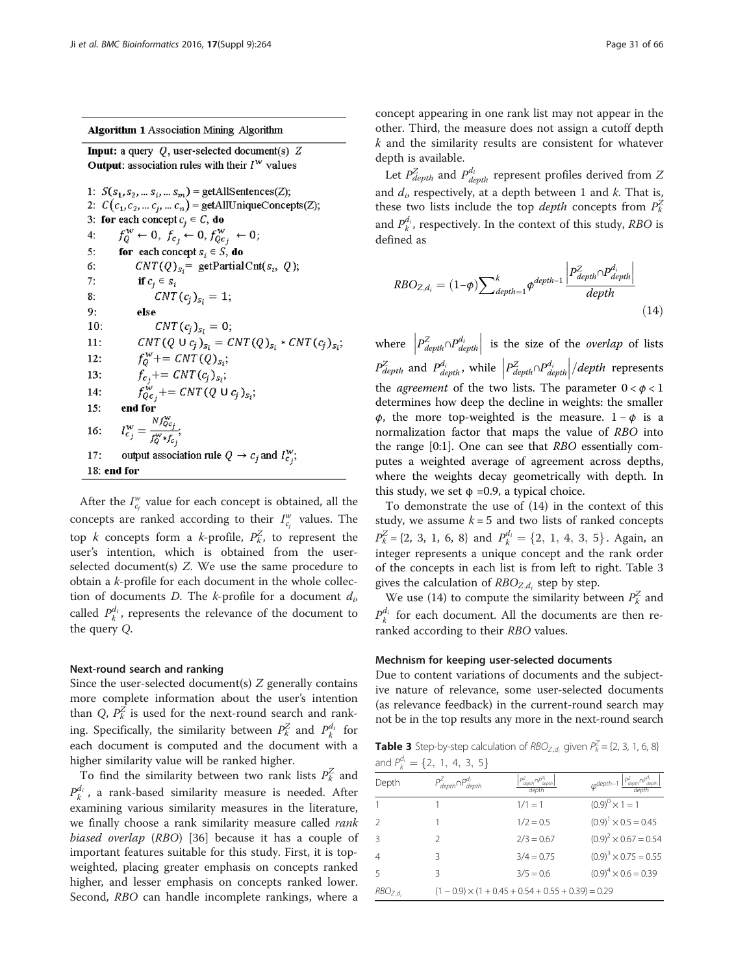**Algorithm 1 Association Mining Algorithm** 

**Input:** a query  $Q$ , user-selected document(s)  $Z$ **Output:** association rules with their  $I^W$  values

```
1: S(s_1, s_2, ... s_i, ... s_m) = \text{getAllSentences}(Z);2: C(c_1, c_2, \dots c_i, \dots c_n) = getAllUniqueConcepts(Z);
3: for each concept c_j \in C, do
           f_Q^W \leftarrow 0, f_{c_j} \leftarrow 0, f_{Qc_j}^W \leftarrow 0;<br>for each concept s_i \in S, do
4:5:
6:
                  CNT(Q)_{s_i} = getPartialCnt(s<sub>i</sub>, Q);
7:if c_j \in s_iCNT(c_i)_{s_i} = 1;8:
9:else
                          CNT(c_j)_{s_i} = 0;10:CNT(Q \cup c_j)_{s_i} = CNT(Q)_{s_i} * CNT(c_j)_{s_i};11:f_{Q}^{w}+= CNT(Q)<sub>S<sub>i</sub></sub>;<br>
f_{c_j}+= CNT(c<sub>j</sub>)<sub>S<sub>i</sub></sub>;<br>
f_{Q_{c_j}}^{w}+= CNT(Q U c<sub>j</sub>)<sub>S<sub>i</sub>;</sub>
12:13:
14:15:
            I_{c_j}^w = \frac{N f_{Q_{c_j}}^w}{f_Q^w * f_{c_j}};16:
             output association rule Q \rightarrow c_i and I_{c_i}^w;
17:
18: end for
```
After the  $I_{c_j}^w$  value for each concept is obtained, all the concepts are ranked according to their  $I^w_{c_j}$  values. The top k concepts form a k-profile,  $P_k^Z$ , to represent the user's intention, which is obtained from the userselected document(s) Z. We use the same procedure to obtain a k-profile for each document in the whole collection of documents D. The k-profile for a document  $d_i$ , called  $P_k^{d_i}$ , represents the relevance of the document to the query Q.

#### Next-round search and ranking

Since the user-selected document(s)  $Z$  generally contains more complete information about the user's intention than Q,  $P_k^{\overline{Z}}$  is used for the next-round search and ranking. Specifically, the similarity between  $P_k^Z$  and  $P_k^{d_i}$  for each document is computed and the document with a higher similarity value will be ranked higher.

To find the similarity between two rank lists  $P_k^Z$  and  $P_k^{d_i}$ , a rank-based similarity measure is needed. After examining various similarity measures in the literature, we finally choose a rank similarity measure called *rank* biased overlap (RBO) [\[36](#page-11-0)] because it has a couple of important features suitable for this study. First, it is topweighted, placing greater emphasis on concepts ranked higher, and lesser emphasis on concepts ranked lower. Second, RBO can handle incomplete rankings, where a concept appearing in one rank list may not appear in the other. Third, the measure does not assign a cutoff depth  $k$  and the similarity results are consistent for whatever depth is available.

Let  $P_{depth}^Z$  and  $P_{depth}^{d_i}$  represent profiles derived from Z and  $d_i$ , respectively, at a depth between 1 and  $k$ . That is, these two lists include the top *depth* concepts from  $P_k^Z$ and  $P_k^{d_i}$ , respectively. In the context of this study, RBO is defined as

$$
RBO_{Z,d_i} = (1-\phi) \sum\nolimits_{depth=1}^{k} \frac{\left| P_{depth}^Z \cap P_{depth}^d \right|}{depth} \right)
$$
\n
$$
(14)
$$

where  $\left| P_{depth}^Z \cap P_{depth}^d \right|$ is the size of the *overlap* of lists  $P_{depth}^Z$  and  $P_{depth}^{\{d_i\}}$ , while  $\left|P_{depth}^Z \cap P_{depth}^{\{d_i\}}\right|$  $\left| \frac{depth}{ }$  represents the *agreement* of the two lists. The parameter  $0 < \phi < 1$ determines how deep the decline in weights: the smaller φ, the more top-weighted is the measure.  $1 - φ$  is a normalization factor that maps the value of RBO into the range [0:1]. One can see that RBO essentially computes a weighted average of agreement across depths, where the weights decay geometrically with depth. In this study, we set  $\phi = 0.9$ , a typical choice.

To demonstrate the use of (14) in the context of this study, we assume  $k = 5$  and two lists of ranked concepts  $P_k^Z = \{2, 3, 1, 6, 8\}$  and  $P_k^{d_i} = \{2, 1, 4, 3, 5\}$ . Again, an integer represents a unique consent and the rank order integer represents a unique concept and the rank order of the concepts in each list is from left to right. Table 3 gives the calculation of  $RBO_{Z,d_i}$  step by step.

We use (14) to compute the similarity between  $P_k^Z$  and  $P_k^{d_i}$  for each document. All the documents are then reranked according to their RBO values.

#### Mechnism for keeping user-selected documents

Due to content variations of documents and the subjective nature of relevance, some user-selected documents (as relevance feedback) in the current-round search may not be in the top results any more in the next-round search

**Table 3** Step-by-step calculation of  $RBO_{Z,d_i}$  given  $P_k^Z = \{2, 3, 1, 6, 8\}$ and  $P_k^{d_i} = \{2, 1, 4, 3, 5\}$ 

| Depth               | $P_{depth}^{Z} \cap P_{depth}^{d_i}$ | $P_{depth}^\angle \cap P$<br>depth                        | $\varphi^{depth-1} \frac{ P^Z_{depth} \cap P^{\hat{d}_i}_{depth}}{$ |
|---------------------|--------------------------------------|-----------------------------------------------------------|---------------------------------------------------------------------|
|                     |                                      | $1/1 = 1$                                                 | $(0.9)^{0} \times 1 = 1$                                            |
| $\mathcal{P}$       |                                      | $1/2 = 0.5$                                               | $(0.9)^1 \times 0.5 = 0.45$                                         |
| $\mathcal{R}$       | 2                                    | $2/3 = 0.67$                                              | $(0.9)^2 \times 0.67 = 0.54$                                        |
| $\overline{4}$      | Β                                    | $3/4 = 0.75$                                              | $(0.9)^3 \times 0.75 = 0.55$                                        |
| 5                   | ζ                                    | $3/5 = 0.6$                                               | $(0.9)^4 \times 0.6 = 0.39$                                         |
| RBO <sub>Z.d.</sub> |                                      | $(1 - 0.9) \times (1 + 0.45 + 0.54 + 0.55 + 0.39) = 0.29$ |                                                                     |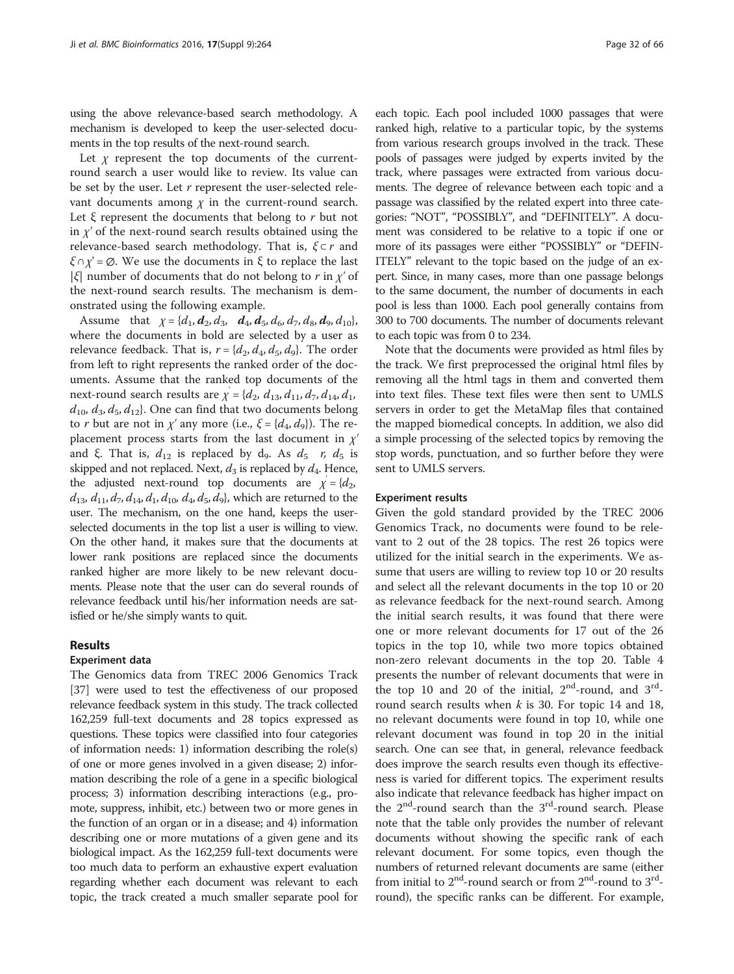using the above relevance-based search methodology. A mechanism is developed to keep the user-selected documents in the top results of the next-round search.

Let  $\chi$  represent the top documents of the currentround search a user would like to review. Its value can be set by the user. Let  $r$  represent the user-selected relevant documents among  $\chi$  in the current-round search. Let  $\xi$  represent the documents that belong to r but not in  $\chi'$  of the next-round search results obtained using the relevance-based search methodology. That is,  $\xi \subset r$  and ξ  $\cap$   $\chi'$  =  $\emptyset$ . We use the documents in ξ to replace the last |ξ| number of documents that do not belong to r in  $\chi'$  of the next-round search results. The mechanism is demonstrated using the following example.

Assume that  $\chi = \{d_1, d_2, d_3, d_4, d_5, d_6, d_7, d_8, d_9, d_{10}\},\$ where the documents in bold are selected by a user as relevance feedback. That is,  $r = \{d_2, d_4, d_5, d_9\}$ . The order from left to right represents the ranked order of the documents. Assume that the ranked top documents of the next-round search results are  $\chi^{'} = \{d_2, d_{13}, d_{11}, d_7, d_{14}, d_1,$  $d_{10}$ ,  $d_3$ ,  $d_5$ ,  $d_{12}$ ). One can find that two documents belong to r but are not in  $\chi'$  any more (i.e.,  $\xi = \{d_4, d_9\}$ ). The replacement process starts from the last document in  $\chi'$ and ξ. That is,  $d_{12}$  is replaced by d<sub>9</sub>. As  $d_5$  r,  $d_5$  is skipped and not replaced. Next,  $d_3$  is replaced by  $d_4$ . Hence, the adjusted next-round top documents are  $\chi^2 = \{d_2, d_3\}$  $d_{13}$ ,  $d_{11}$ ,  $d_{7}$ ,  $d_{14}$ ,  $d_{10}$ ,  $d_{40}$ ,  $d_{5}$ ,  $d_{9}$ }, which are returned to the user. The mechanism, on the one hand, keeps the userselected documents in the top list a user is willing to view. On the other hand, it makes sure that the documents at lower rank positions are replaced since the documents ranked higher are more likely to be new relevant documents. Please note that the user can do several rounds of relevance feedback until his/her information needs are satisfied or he/she simply wants to quit.

#### Results

#### Experiment data

The Genomics data from TREC 2006 Genomics Track [[37\]](#page-11-0) were used to test the effectiveness of our proposed relevance feedback system in this study. The track collected 162,259 full-text documents and 28 topics expressed as questions. These topics were classified into four categories of information needs: 1) information describing the role(s) of one or more genes involved in a given disease; 2) information describing the role of a gene in a specific biological process; 3) information describing interactions (e.g., promote, suppress, inhibit, etc.) between two or more genes in the function of an organ or in a disease; and 4) information describing one or more mutations of a given gene and its biological impact. As the 162,259 full-text documents were too much data to perform an exhaustive expert evaluation regarding whether each document was relevant to each topic, the track created a much smaller separate pool for

each topic. Each pool included 1000 passages that were ranked high, relative to a particular topic, by the systems from various research groups involved in the track. These pools of passages were judged by experts invited by the track, where passages were extracted from various documents. The degree of relevance between each topic and a passage was classified by the related expert into three categories: "NOT", "POSSIBLY", and "DEFINITELY". A document was considered to be relative to a topic if one or more of its passages were either "POSSIBLY" or "DEFIN-ITELY" relevant to the topic based on the judge of an expert. Since, in many cases, more than one passage belongs to the same document, the number of documents in each pool is less than 1000. Each pool generally contains from 300 to 700 documents. The number of documents relevant to each topic was from 0 to 234.

Note that the documents were provided as html files by the track. We first preprocessed the original html files by removing all the html tags in them and converted them into text files. These text files were then sent to UMLS servers in order to get the MetaMap files that contained the mapped biomedical concepts. In addition, we also did a simple processing of the selected topics by removing the stop words, punctuation, and so further before they were sent to UMLS servers.

#### Experiment results

Given the gold standard provided by the TREC 2006 Genomics Track, no documents were found to be relevant to 2 out of the 28 topics. The rest 26 topics were utilized for the initial search in the experiments. We assume that users are willing to review top 10 or 20 results and select all the relevant documents in the top 10 or 20 as relevance feedback for the next-round search. Among the initial search results, it was found that there were one or more relevant documents for 17 out of the 26 topics in the top 10, while two more topics obtained non-zero relevant documents in the top 20. Table [4](#page-8-0) presents the number of relevant documents that were in the top 10 and 20 of the initial,  $2<sup>nd</sup>$ -round, and  $3<sup>rd</sup>$ round search results when  $k$  is 30. For topic 14 and 18, no relevant documents were found in top 10, while one relevant document was found in top 20 in the initial search. One can see that, in general, relevance feedback does improve the search results even though its effectiveness is varied for different topics. The experiment results also indicate that relevance feedback has higher impact on the  $2<sup>nd</sup>$ -round search than the  $3<sup>rd</sup>$ -round search. Please note that the table only provides the number of relevant documents without showing the specific rank of each relevant document. For some topics, even though the numbers of returned relevant documents are same (either from initial to  $2<sup>nd</sup>$ -round search or from  $2<sup>nd</sup>$ -round to  $3<sup>rd</sup>$ round), the specific ranks can be different. For example,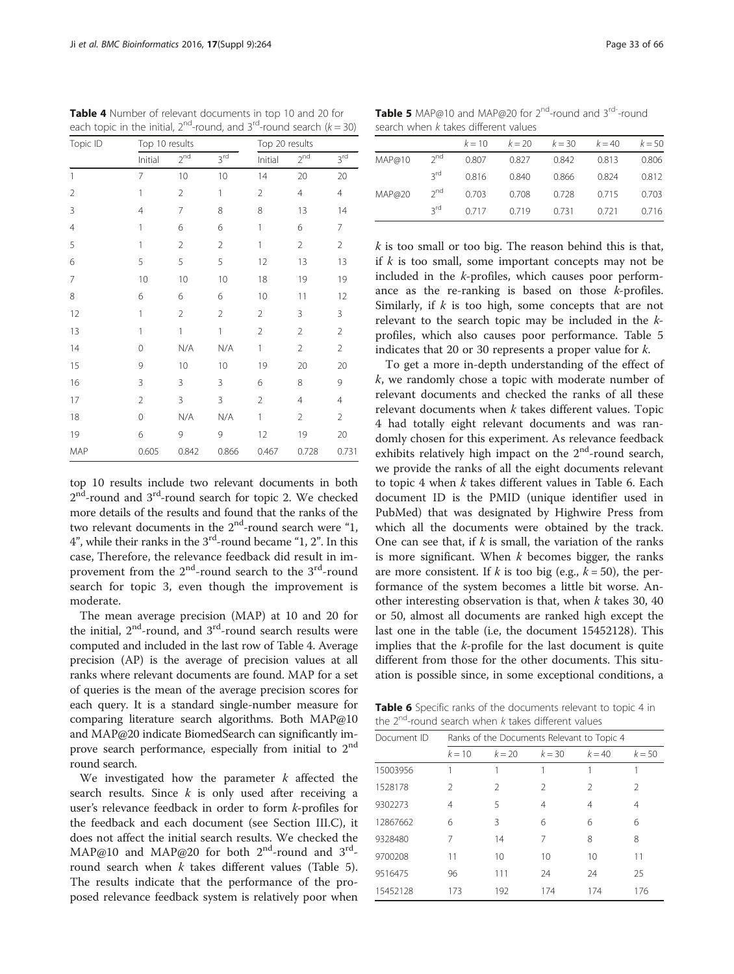top 10 results include two relevant documents in both 2<sup>nd</sup>-round and 3<sup>rd</sup>-round search for topic 2. We checked more details of the results and found that the ranks of the two relevant documents in the  $2<sup>nd</sup>$ -round search were "1,  $4$ ", while their ranks in the  $3<sup>rd</sup>$ -round became "1, 2". In this case, Therefore, the relevance feedback did result in improvement from the  $2^{nd}$ -round search to the  $3^{rd}$ -round search for topic 3, even though the improvement is moderate.

The mean average precision (MAP) at 10 and 20 for the initial,  $2<sup>nd</sup>$ -round, and  $3<sup>rd</sup>$ -round search results were computed and included in the last row of Table 4. Average precision (AP) is the average of precision values at all ranks where relevant documents are found. MAP for a set of queries is the mean of the average precision scores for each query. It is a standard single-number measure for comparing literature search algorithms. Both MAP@10 and MAP@20 indicate BiomedSearch can significantly improve search performance, especially from initial to  $2<sup>nd</sup>$ round search.

We investigated how the parameter  $k$  affected the search results. Since  $k$  is only used after receiving a user's relevance feedback in order to form k-profiles for the feedback and each document (see Section III.C), it does not affect the initial search results. We checked the MAP@10 and MAP@20 for both 2<sup>nd</sup>-round and 3<sup>rd</sup>round search when  $k$  takes different values (Table 5). The results indicate that the performance of the proposed relevance feedback system is relatively poor when **Table 5** MAP@10 and MAP@20 for  $2^{nd}$ -round and  $3^{rd}$ -round search when k takes different values

|        |                 | $k = 10$ | $k = 20$ | $k = 30$ | $k = 40$ | $k = 50$ |  |  |  |
|--------|-----------------|----------|----------|----------|----------|----------|--|--|--|
| MAP@10 | $2^{nd}$        | 0.807    | 0.827    | 0.842    | 0.813    | 0.806    |  |  |  |
|        | 3 <sub>rd</sub> | 0.816    | 0.840    | 0.866    | 0.824    | 0.812    |  |  |  |
| MAP@20 | $2^{nd}$        | 0.703    | 0.708    | 0.728    | 0.715    | 0.703    |  |  |  |
|        | 3 <sub>rd</sub> | 0.717    | 0.719    | 0.731    | 0.721    | 0.716    |  |  |  |

 $k$  is too small or too big. The reason behind this is that, if  $k$  is too small, some important concepts may not be included in the k-profiles, which causes poor performance as the re-ranking is based on those k-profiles. Similarly, if  $k$  is too high, some concepts that are not relevant to the search topic may be included in the kprofiles, which also causes poor performance. Table 5 indicates that 20 or 30 represents a proper value for k.

To get a more in-depth understanding of the effect of k, we randomly chose a topic with moderate number of relevant documents and checked the ranks of all these relevant documents when  $k$  takes different values. Topic 4 had totally eight relevant documents and was randomly chosen for this experiment. As relevance feedback exhibits relatively high impact on the 2<sup>nd</sup>-round search, we provide the ranks of all the eight documents relevant to topic 4 when  $k$  takes different values in Table 6. Each document ID is the PMID (unique identifier used in PubMed) that was designated by Highwire Press from which all the documents were obtained by the track. One can see that, if  $k$  is small, the variation of the ranks is more significant. When  $k$  becomes bigger, the ranks are more consistent. If k is too big (e.g.,  $k = 50$ ), the performance of the system becomes a little bit worse. Another interesting observation is that, when  $k$  takes 30, 40 or 50, almost all documents are ranked high except the last one in the table (i.e, the document 15452128). This implies that the k-profile for the last document is quite different from those for the other documents. This situation is possible since, in some exceptional conditions, a

Table 6 Specific ranks of the documents relevant to topic 4 in the  $2^{nd}$ -round search when k takes different values

| Document ID | Ranks of the Documents Relevant to Topic 4 |               |          |          |               |  |
|-------------|--------------------------------------------|---------------|----------|----------|---------------|--|
|             | $k = 10$                                   | $k = 20$      | $k = 30$ | $k = 40$ | $k = 50$      |  |
| 15003956    |                                            |               |          |          |               |  |
| 1528178     | $\mathcal{P}$                              | $\mathcal{P}$ | 2        | 2        | $\mathcal{P}$ |  |
| 9302273     | 4                                          | 5             | 4        | 4        | 4             |  |
| 12867662    | 6                                          | 3             | 6        | 6        | 6             |  |
| 9328480     | 7                                          | 14            | 7        | 8        | 8             |  |
| 9700208     | 11                                         | 10            | 10       | 10       | 11            |  |
| 9516475     | 96                                         | 111           | 24       | 24       | 25            |  |
| 15452128    | 173                                        | 192           | 174      | 174      | 176           |  |

<span id="page-8-0"></span>Table 4 Number of relevant documents in top 10 and 20 for each topic in the initial,  $2^{nd}$ -round, and  $3^{rd}$ -round search ( $k = 30$ ) Topic ID Top 10 results Top 20 results

1 7 10 10 14 20 20 2 1 2 1 2 4 4 3 4 7 8 8 13 14 4 1 6 6 1 6 7 5 122122 6 5 5 5 12 13 13 7 10 10 10 18 19 19 8 6 6 6 10 11 12 12 1 2 2 2 3 3 13 1 1 1 2 2 2 14 0 N/A N/A 1 2 2 15 9 10 10 19 20 20 16 3 3 3 6 8 9 17 2 3 3 2 4 4 18 0 N/A N/A 1 2 2 19 6 9 9 12 19 20 MAP 0.605 0.842 0.866 0.467 0.728 0.731

Initial 2<sup>nd</sup> 3<sup>rd</sup> Initial 2<sup>nd</sup> 3<sup>rd</sup>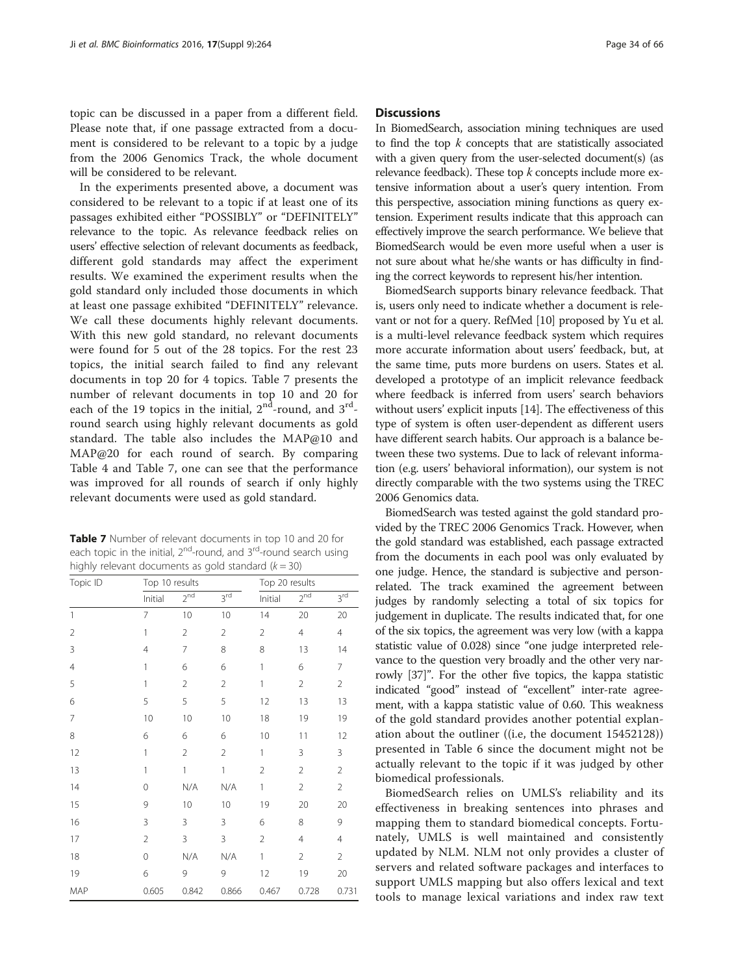topic can be discussed in a paper from a different field. Please note that, if one passage extracted from a document is considered to be relevant to a topic by a judge from the 2006 Genomics Track, the whole document will be considered to be relevant.

In the experiments presented above, a document was considered to be relevant to a topic if at least one of its passages exhibited either "POSSIBLY" or "DEFINITELY" relevance to the topic. As relevance feedback relies on users' effective selection of relevant documents as feedback, different gold standards may affect the experiment results. We examined the experiment results when the gold standard only included those documents in which at least one passage exhibited "DEFINITELY" relevance. We call these documents highly relevant documents. With this new gold standard, no relevant documents were found for 5 out of the 28 topics. For the rest 23 topics, the initial search failed to find any relevant documents in top 20 for 4 topics. Table 7 presents the number of relevant documents in top 10 and 20 for each of the 19 topics in the initial,  $2<sup>nd</sup>$ -round, and  $3<sup>rd</sup>$ round search using highly relevant documents as gold standard. The table also includes the MAP@10 and MAP@20 for each round of search. By comparing Table [4](#page-8-0) and Table 7, one can see that the performance was improved for all rounds of search if only highly relevant documents were used as gold standard.

Table 7 Number of relevant documents in top 10 and 20 for each topic in the initial,  $2^{nd}$ -round, and  $3^{rd}$ -round search using highly relevant documents as gold standard  $(k = 30)$ 

| Topic ID       | Top 10 results |                 |                 |                | Top 20 results  |                 |  |
|----------------|----------------|-----------------|-----------------|----------------|-----------------|-----------------|--|
|                | Initial        | 2 <sup>nd</sup> | 3 <sup>rd</sup> | Initial        | 2 <sup>nd</sup> | 3 <sup>rd</sup> |  |
| 1              | 7              | 10              | 10              | 14             | 20              | 20              |  |
| $\overline{2}$ | 1              | $\overline{2}$  | $\overline{2}$  | $\overline{2}$ | 4               | $\overline{4}$  |  |
| 3              | $\overline{4}$ | 7               | 8               | 8              | 13              | 14              |  |
| $\overline{4}$ | 1              | 6               | 6               | 1              | 6               | 7               |  |
| 5              | 1              | $\overline{2}$  | $\overline{2}$  | 1              | $\overline{2}$  | $\overline{2}$  |  |
| 6              | 5              | 5               | 5               | 12             | 13              | 13              |  |
| $\overline{7}$ | $10$           | 10              | 10              | 18             | 19              | 19              |  |
| 8              | 6              | 6               | 6               | 10             | 11              | 12              |  |
| 12             | 1              | $\overline{2}$  | $\overline{2}$  | 1              | 3               | 3               |  |
| 13             | 1              | 1               | $\mathbf{1}$    | $\overline{2}$ | $\overline{2}$  | $\overline{2}$  |  |
| 14             | 0              | N/A             | N/A             | 1              | $\overline{2}$  | $\overline{2}$  |  |
| 15             | 9              | 10              | 10              | 19             | 20              | 20              |  |
| 16             | 3              | 3               | 3               | 6              | 8               | 9               |  |
| 17             | $\overline{2}$ | 3               | 3               | $\overline{2}$ | 4               | $\overline{4}$  |  |
| 18             | $\mathbf 0$    | N/A             | N/A             | 1              | $\overline{2}$  | $\overline{2}$  |  |
| 19             | 6              | 9               | 9               | 12             | 19              | 20              |  |
| MAP            | 0.605          | 0.842           | 0.866           | 0.467          | 0.728           | 0.731           |  |

#### **Discussions**

In BiomedSearch, association mining techniques are used to find the top  $k$  concepts that are statistically associated with a given query from the user-selected document(s) (as relevance feedback). These top  $k$  concepts include more extensive information about a user's query intention. From this perspective, association mining functions as query extension. Experiment results indicate that this approach can effectively improve the search performance. We believe that BiomedSearch would be even more useful when a user is not sure about what he/she wants or has difficulty in finding the correct keywords to represent his/her intention.

BiomedSearch supports binary relevance feedback. That is, users only need to indicate whether a document is relevant or not for a query. RefMed [\[10\]](#page-10-0) proposed by Yu et al. is a multi-level relevance feedback system which requires more accurate information about users' feedback, but, at the same time, puts more burdens on users. States et al. developed a prototype of an implicit relevance feedback where feedback is inferred from users' search behaviors without users' explicit inputs [\[14](#page-10-0)]. The effectiveness of this type of system is often user-dependent as different users have different search habits. Our approach is a balance between these two systems. Due to lack of relevant information (e.g. users' behavioral information), our system is not directly comparable with the two systems using the TREC 2006 Genomics data.

BiomedSearch was tested against the gold standard provided by the TREC 2006 Genomics Track. However, when the gold standard was established, each passage extracted from the documents in each pool was only evaluated by one judge. Hence, the standard is subjective and personrelated. The track examined the agreement between judges by randomly selecting a total of six topics for judgement in duplicate. The results indicated that, for one of the six topics, the agreement was very low (with a kappa statistic value of 0.028) since "one judge interpreted relevance to the question very broadly and the other very narrowly [\[37](#page-11-0)]". For the other five topics, the kappa statistic indicated "good" instead of "excellent" inter-rate agreement, with a kappa statistic value of 0.60. This weakness of the gold standard provides another potential explanation about the outliner ((i.e, the document 15452128)) presented in Table [6](#page-8-0) since the document might not be actually relevant to the topic if it was judged by other biomedical professionals.

BiomedSearch relies on UMLS's reliability and its effectiveness in breaking sentences into phrases and mapping them to standard biomedical concepts. Fortunately, UMLS is well maintained and consistently updated by NLM. NLM not only provides a cluster of servers and related software packages and interfaces to support UMLS mapping but also offers lexical and text tools to manage lexical variations and index raw text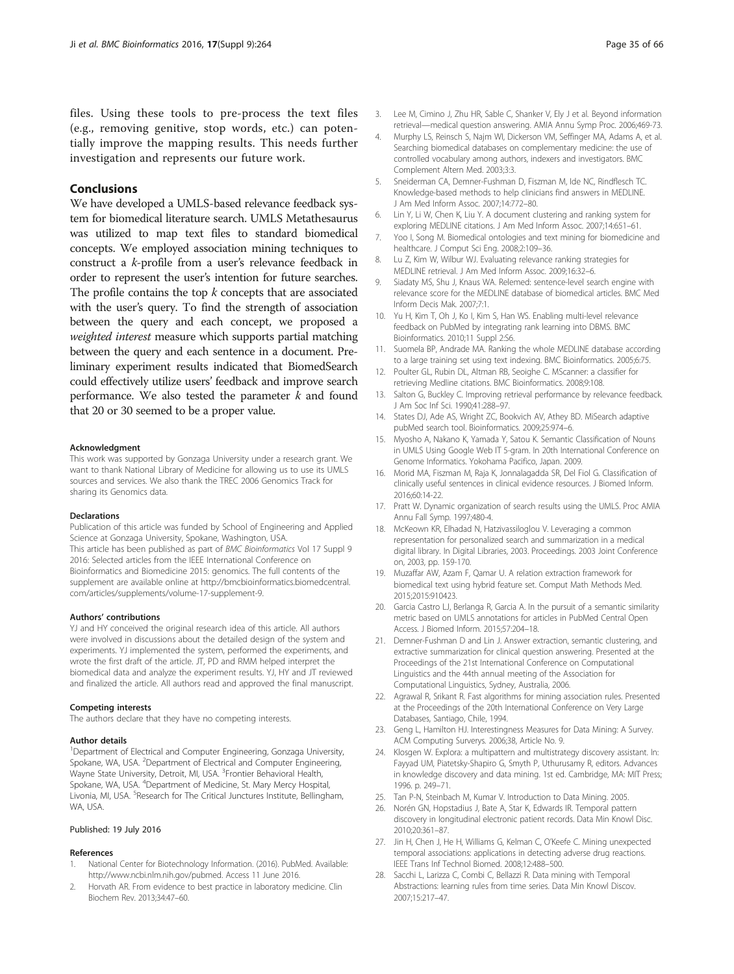<span id="page-10-0"></span>files. Using these tools to pre-process the text files (e.g., removing genitive, stop words, etc.) can potentially improve the mapping results. This needs further investigation and represents our future work.

### Conclusions

We have developed a UMLS-based relevance feedback system for biomedical literature search. UMLS Metathesaurus was utilized to map text files to standard biomedical concepts. We employed association mining techniques to construct a k-profile from a user's relevance feedback in order to represent the user's intention for future searches. The profile contains the top  $k$  concepts that are associated with the user's query. To find the strength of association between the query and each concept, we proposed a weighted interest measure which supports partial matching between the query and each sentence in a document. Preliminary experiment results indicated that BiomedSearch could effectively utilize users' feedback and improve search performance. We also tested the parameter  $k$  and found that 20 or 30 seemed to be a proper value.

#### Acknowledgment

This work was supported by Gonzaga University under a research grant. We want to thank National Library of Medicine for allowing us to use its UMLS sources and services. We also thank the TREC 2006 Genomics Track for sharing its Genomics data.

#### Declarations

Publication of this article was funded by School of Engineering and Applied Science at Gonzaga University, Spokane, Washington, USA. This article has been published as part of BMC Bioinformatics Vol 17 Suppl 9 2016: Selected articles from the IEEE International Conference on Bioinformatics and Biomedicine 2015: genomics. The full contents of the supplement are available online at [http://bmcbioinformatics.biomedcentral.](http://bmcbioinformatics.biomedcentral.com/articles/supplements/volume-17-supplement-9) [com/articles/supplements/volume-17-supplement-9.](http://bmcbioinformatics.biomedcentral.com/articles/supplements/volume-17-supplement-9)

#### Authors' contributions

YJ and HY conceived the original research idea of this article. All authors were involved in discussions about the detailed design of the system and experiments. YJ implemented the system, performed the experiments, and wrote the first draft of the article. JT, PD and RMM helped interpret the biomedical data and analyze the experiment results. YJ, HY and JT reviewed and finalized the article. All authors read and approved the final manuscript.

#### Competing interests

The authors declare that they have no competing interests.

#### Author details

<sup>1</sup>Department of Electrical and Computer Engineering, Gonzaga University, Spokane, WA, USA. <sup>2</sup>Department of Electrical and Computer Engineering, Wayne State University, Detroit, MI, USA. <sup>3</sup> Frontier Behavioral Health, Spokane, WA, USA. <sup>4</sup>Department of Medicine, St. Mary Mercy Hospital, Livonia, MI, USA. <sup>5</sup>Research for The Critical Junctures Institute, Bellingham, WA, USA.

#### Published: 19 July 2016

#### References

- 1. National Center for Biotechnology Information. (2016). PubMed. Available: [http://www.ncbi.nlm.nih.gov/pubmed.](http://www.ncbi.nlm.nih.gov/pubmed) Access 11 June 2016.
- Horvath AR. From evidence to best practice in laboratory medicine. Clin Biochem Rev. 2013;34:47–60.
- 4. Murphy LS, Reinsch S, Najm WI, Dickerson VM, Seffinger MA, Adams A, et al. Searching biomedical databases on complementary medicine: the use of controlled vocabulary among authors, indexers and investigators. BMC Complement Altern Med. 2003;3:3.
- 5. Sneiderman CA, Demner-Fushman D, Fiszman M, Ide NC, Rindflesch TC. Knowledge-based methods to help clinicians find answers in MEDLINE. J Am Med Inform Assoc. 2007;14:772–80.
- 6. Lin Y, Li W, Chen K, Liu Y. A document clustering and ranking system for exploring MEDLINE citations. J Am Med Inform Assoc. 2007;14:651–61.
- 7. Yoo I, Song M. Biomedical ontologies and text mining for biomedicine and healthcare. J Comput Sci Eng. 2008;2:109–36.
- 8. Lu Z, Kim W, Wilbur WJ. Evaluating relevance ranking strategies for MEDLINE retrieval. J Am Med Inform Assoc. 2009;16:32–6.
- 9. Siadaty MS, Shu J, Knaus WA. Relemed: sentence-level search engine with relevance score for the MEDLINE database of biomedical articles. BMC Med Inform Decis Mak. 2007;7:1.
- 10. Yu H, Kim T, Oh J, Ko I, Kim S, Han WS. Enabling multi-level relevance feedback on PubMed by integrating rank learning into DBMS. BMC Bioinformatics. 2010;11 Suppl 2:S6.
- 11. Suomela BP, Andrade MA. Ranking the whole MEDLINE database according to a large training set using text indexing. BMC Bioinformatics. 2005;6:75.
- 12. Poulter GL, Rubin DL, Altman RB, Seoighe C. MScanner: a classifier for retrieving Medline citations. BMC Bioinformatics. 2008;9:108.
- 13. Salton G, Buckley C. Improving retrieval performance by relevance feedback. J Am Soc Inf Sci. 1990;41:288–97.
- 14. States DJ, Ade AS, Wright ZC, Bookvich AV, Athey BD. MiSearch adaptive pubMed search tool. Bioinformatics. 2009;25:974–6.
- 15. Myosho A, Nakano K, Yamada Y, Satou K. Semantic Classification of Nouns in UMLS Using Google Web IT 5-gram. In 20th International Conference on Genome Informatics. Yokohama Pacifico, Japan. 2009.
- 16. Morid MA, Fiszman M, Raja K, Jonnalagadda SR, Del Fiol G. Classification of clinically useful sentences in clinical evidence resources. J Biomed Inform. 2016;60:14-22.
- 17. Pratt W. Dynamic organization of search results using the UMLS. Proc AMIA Annu Fall Symp. 1997;480-4.
- 18. McKeown KR, Elhadad N, Hatzivassiloglou V. Leveraging a common representation for personalized search and summarization in a medical digital library. In Digital Libraries, 2003. Proceedings. 2003 Joint Conference on, 2003, pp. 159-170.
- 19. Muzaffar AW, Azam F, Qamar U. A relation extraction framework for biomedical text using hybrid feature set. Comput Math Methods Med. 2015;2015:910423.
- 20. Garcia Castro LJ, Berlanga R, Garcia A. In the pursuit of a semantic similarity metric based on UMLS annotations for articles in PubMed Central Open Access. J Biomed Inform. 2015;57:204–18.
- 21. Demner-Fushman D and Lin J. Answer extraction, semantic clustering, and extractive summarization for clinical question answering. Presented at the Proceedings of the 21st International Conference on Computational Linguistics and the 44th annual meeting of the Association for Computational Linguistics, Sydney, Australia, 2006.
- 22. Agrawal R, Srikant R. Fast algorithms for mining association rules. Presented at the Proceedings of the 20th International Conference on Very Large Databases, Santiago, Chile, 1994.
- 23. Geng L, Hamilton HJ. Interestingness Measures for Data Mining: A Survey. ACM Computing Surverys. 2006;38, Article No. 9.
- 24. Klosgen W. Explora: a multipattern and multistrategy discovery assistant. In: Fayyad UM, Piatetsky-Shapiro G, Smyth P, Uthurusamy R, editors. Advances in knowledge discovery and data mining. 1st ed. Cambridge, MA: MIT Press; 1996. p. 249–71.
- 25. Tan P-N, Steinbach M, Kumar V. Introduction to Data Mining. 2005.
- 26. Norén GN, Hopstadius J, Bate A, Star K, Edwards IR. Temporal pattern discovery in longitudinal electronic patient records. Data Min Knowl Disc. 2010;20:361–87.
- 27. Jin H, Chen J, He H, Williams G, Kelman C, O'Keefe C. Mining unexpected temporal associations: applications in detecting adverse drug reactions. IEEE Trans Inf Technol Biomed. 2008;12:488–500.
- 28. Sacchi L, Larizza C, Combi C, Bellazzi R. Data mining with Temporal Abstractions: learning rules from time series. Data Min Knowl Discov. 2007;15:217–47.